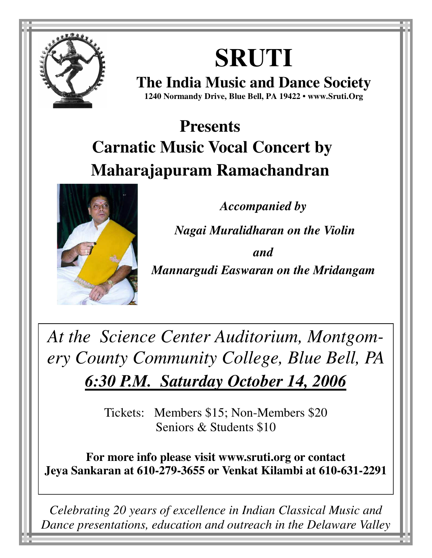

# **SRUTI**

**The India Music and Dance Society 1240 Normandy Drive, Blue Bell, PA 19422 • www.Sruti.Org**

## **Presents Carnatic Music Vocal Concert by Maharajapuram Ramachandran**



*Accompanied by*

 *Nagai Muralidharan on the Violin* 

*and*

*Mannargudi Easwaran on the Mridangam* 

*At the Science Center Auditorium, Montgomery County Community College, Blue Bell, PA 6:30 P.M. Saturday October 14, 2006*

> Tickets: Members \$15; Non-Members \$20 Seniors & Students \$10

**For more info please visit www.sruti.org or contact Jeya Sankaran at 610-279-3655 or Venkat Kilambi at 610-631-2291** 

*Celebrating 20 years of excellence in Indian Classical Music and Dance presentations, education and outreach in the Delaware Valley*